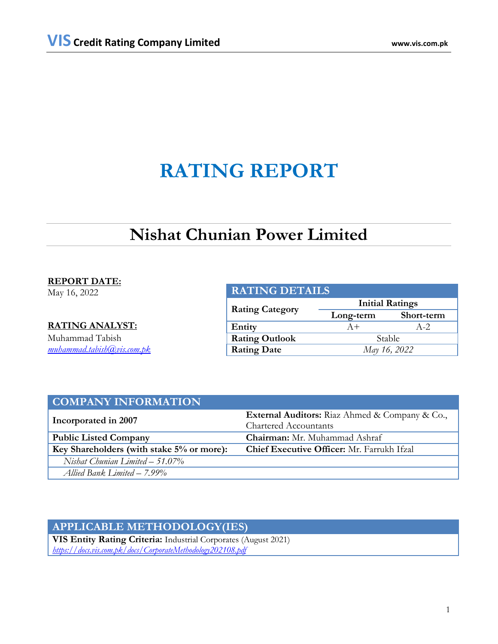# **RATING REPORT**

# **Nishat Chunian Power Limited**

## **REPORT DATE:**

May 16, 2022

## **RATING ANALYST:**

Muhammad Tabish *[muhammad.tabish@vis.com.pk](mailto:muhammad.tabish@vis.com.pk)*

| <b>RATING DETAILS</b>  |                        |            |  |  |
|------------------------|------------------------|------------|--|--|
| <b>Rating Category</b> | <b>Initial Ratings</b> |            |  |  |
|                        | Long-term              | Short-term |  |  |
| Entity                 | $A+$                   | $A-2$      |  |  |
| <b>Rating Outlook</b>  | Stable                 |            |  |  |
| <b>Rating Date</b>     | May 16, 2022           |            |  |  |

| <b>COMPANY INFORMATION</b>                |                                                       |  |  |
|-------------------------------------------|-------------------------------------------------------|--|--|
| Incorporated in 2007                      | <b>External Auditors:</b> Riaz Ahmed & Company & Co., |  |  |
|                                           | <b>Chartered Accountants</b>                          |  |  |
| <b>Public Listed Company</b>              | <b>Chairman:</b> Mr. Muhammad Ashraf                  |  |  |
| Key Shareholders (with stake 5% or more): | <b>Chief Executive Officer:</b> Mr. Farrukh Ifzal     |  |  |
| Nishat Chunian Limited $-51.07\%$         |                                                       |  |  |
| Allied Bank Limited - 7.99%               |                                                       |  |  |

# **APPLICABLE METHODOLOGY(IES)**

**VIS Entity Rating Criteria:** Industrial Corporates (August 2021) *<https://docs.vis.com.pk/docs/CorporateMethodology202108.pdf>*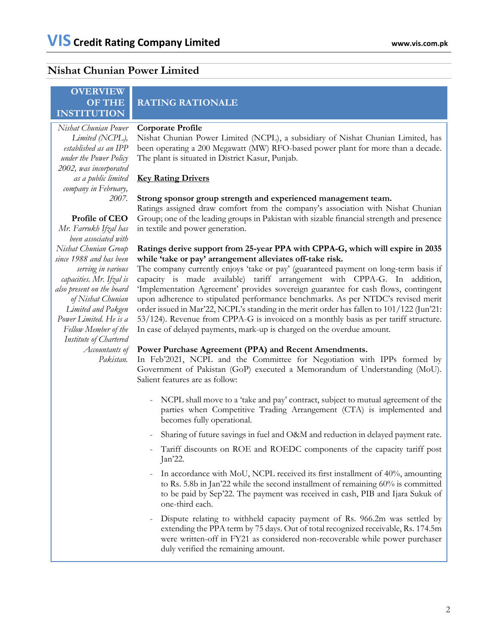## **Nishat Chunian Power Limited**

*2007.* 

## **OVERVIEW OF THE INSTITUTION**

*Limited (NCPL), established as an IPP under the Power Policy 2002, was incorporated as a public limited company in February,* 

# **RATING RATIONALE**

#### *Nishat Chunian Power*  **Corporate Profile**

Nishat Chunian Power Limited (NCPL), a subsidiary of Nishat Chunian Limited, has been operating a 200 Megawatt (MW) RFO-based power plant for more than a decade. The plant is situated in District Kasur, Punjab.

## **Key Rating Drivers**

## **Strong sponsor group strength and experienced management team.**

Ratings assigned draw comfort from the company's association with Nishat Chunian Group; one of the leading groups in Pakistan with sizable financial strength and presence in textile and power generation.

## **Ratings derive support from 25-year PPA with CPPA-G, which will expire in 2035 while 'take or pay' arrangement alleviates off-take risk.**

The company currently enjoys 'take or pay' (guaranteed payment on long-term basis if capacity is made available) tariff arrangement with CPPA-G. In addition, 'Implementation Agreement' provides sovereign guarantee for cash flows, contingent upon adherence to stipulated performance benchmarks. As per NTDC's revised merit order issued in Mar'22, NCPL's standing in the merit order has fallen to 101/122 (Jun'21: 53/124). Revenue from CPPA-G is invoiced on a monthly basis as per tariff structure. In case of delayed payments, mark-up is charged on the overdue amount.

## **Power Purchase Agreement (PPA) and Recent Amendments.**

In Feb'2021, NCPL and the Committee for Negotiation with IPPs formed by Government of Pakistan (GoP) executed a Memorandum of Understanding (MoU). Salient features are as follow:

- NCPL shall move to a 'take and pay' contract, subject to mutual agreement of the parties when Competitive Trading Arrangement (CTA) is implemented and becomes fully operational.
- Sharing of future savings in fuel and O&M and reduction in delayed payment rate.
- Tariff discounts on ROE and ROEDC components of the capacity tariff post Jan'22.
- In accordance with MoU, NCPL received its first installment of 40%, amounting to Rs. 5.8b in Jan'22 while the second installment of remaining 60% is committed to be paid by Sep'22. The payment was received in cash, PIB and Ijara Sukuk of one-third each.
- Dispute relating to withheld capacity payment of Rs. 966.2m was settled by extending the PPA term by 75 days. Out of total recognized receivable, Rs. 174.5m were written-off in FY21 as considered non-recoverable while power purchaser duly verified the remaining amount.

**Profile of CEO** *Mr. Farrukh Ifzal has been associated with Nishat Chunian Group since 1988 and has been serving in various capacities. Mr. Ifzal is also present on the board of Nishat Chunian Limited and Pakgen Power Limited. He is a Fellow Member of the Institute of Chartered Accountants of Pakistan.*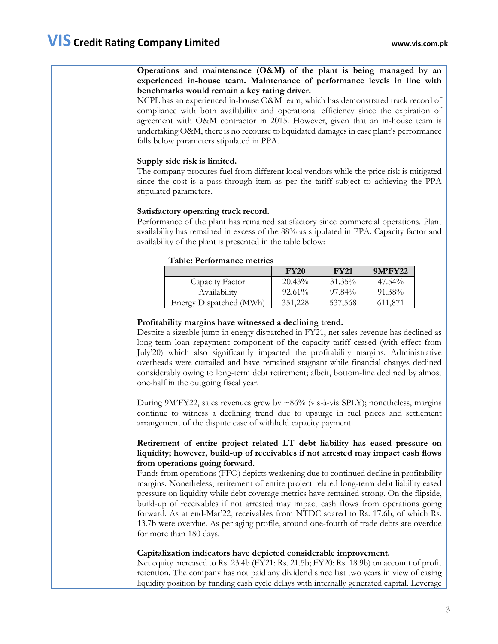## **Operations and maintenance (O&M) of the plant is being managed by an experienced in-house team. Maintenance of performance levels in line with benchmarks would remain a key rating driver.**

NCPL has an experienced in-house O&M team, which has demonstrated track record of compliance with both availability and operational efficiency since the expiration of agreement with O&M contractor in 2015. However, given that an in-house team is undertaking O&M, there is no recourse to liquidated damages in case plant's performance falls below parameters stipulated in PPA.

## **Supply side risk is limited.**

The company procures fuel from different local vendors while the price risk is mitigated since the cost is a pass-through item as per the tariff subject to achieving the PPA stipulated parameters.

## **Satisfactory operating track record.**

Performance of the plant has remained satisfactory since commercial operations. Plant availability has remained in excess of the 88% as stipulated in PPA. Capacity factor and availability of the plant is presented in the table below:

### **Table: Performance metrics**

|                         | <b>FY20</b> | <b>FY21</b> | 9M'FY22   |
|-------------------------|-------------|-------------|-----------|
| Capacity Factor         | $20.43\%$   | 31.35%      | $47.54\%$ |
| Availability            | $92.61\%$   | 97.84%      | 91.38%    |
| Energy Dispatched (MWh) | 351,228     | 537,568     | 611.871   |

## **Profitability margins have witnessed a declining trend.**

Despite a sizeable jump in energy dispatched in FY21, net sales revenue has declined as long-term loan repayment component of the capacity tariff ceased (with effect from July'20) which also significantly impacted the profitability margins. Administrative overheads were curtailed and have remained stagnant while financial charges declined considerably owing to long-term debt retirement; albeit, bottom-line declined by almost one-half in the outgoing fiscal year.

During 9M'FY22, sales revenues grew by  $\sim 86\%$  (vis-à-vis SPLY); nonetheless, margins continue to witness a declining trend due to upsurge in fuel prices and settlement arrangement of the dispute case of withheld capacity payment.

## **Retirement of entire project related LT debt liability has eased pressure on liquidity; however, build-up of receivables if not arrested may impact cash flows from operations going forward.**

Funds from operations (FFO) depicts weakening due to continued decline in profitability margins. Nonetheless, retirement of entire project related long-term debt liability eased pressure on liquidity while debt coverage metrics have remained strong. On the flipside, build-up of receivables if not arrested may impact cash flows from operations going forward. As at end-Mar'22, receivables from NTDC soared to Rs. 17.6b; of which Rs. 13.7b were overdue. As per aging profile, around one-fourth of trade debts are overdue for more than 180 days.

## **Capitalization indicators have depicted considerable improvement.**

Net equity increased to Rs. 23.4b (FY21: Rs. 21.5b; FY20: Rs. 18.9b) on account of profit retention. The company has not paid any dividend since last two years in view of easing liquidity position by funding cash cycle delays with internally generated capital. Leverage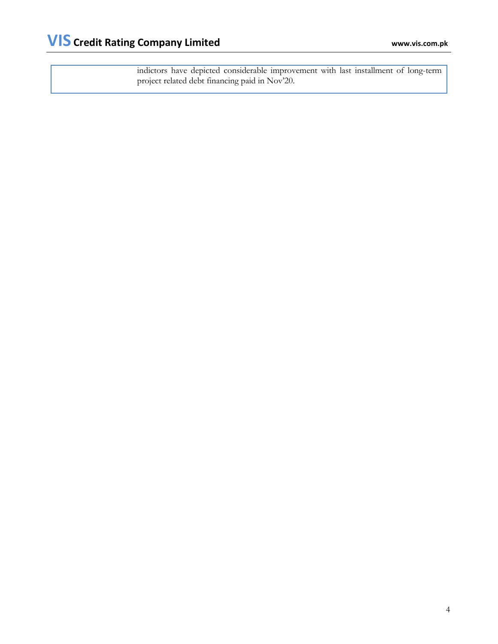indictors have depicted considerable improvement with last installment of long-term project related debt financing paid in Nov'20.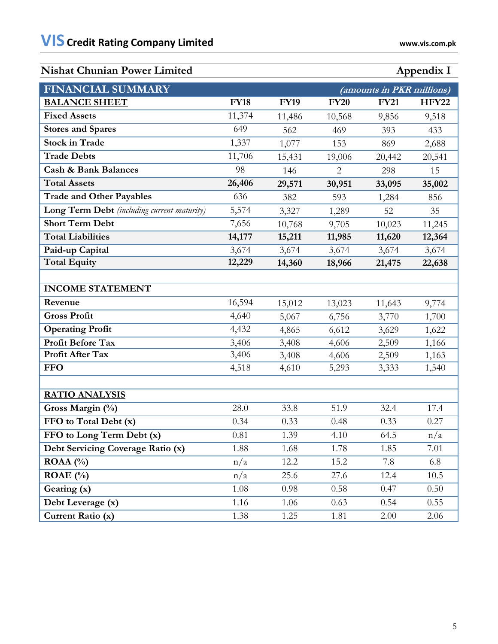# **Nishat Chunian Power Limited Appendix I**

| <b>FINANCIAL SUMMARY</b>                    |             |             | (amounts in PKR millions) |             |              |  |
|---------------------------------------------|-------------|-------------|---------------------------|-------------|--------------|--|
| <b>BALANCE SHEET</b>                        | <b>FY18</b> | <b>FY19</b> | <b>FY20</b>               | <b>FY21</b> | <b>HFY22</b> |  |
| <b>Fixed Assets</b>                         | 11,374      | 11,486      | 10,568                    | 9,856       | 9,518        |  |
| <b>Stores and Spares</b>                    | 649         | 562         | 469                       | 393         | 433          |  |
| <b>Stock in Trade</b>                       | 1,337       | 1,077       | 153                       | 869         | 2,688        |  |
| <b>Trade Debts</b>                          | 11,706      | 15,431      | 19,006                    | 20,442      | 20,541       |  |
| <b>Cash &amp; Bank Balances</b>             | 98          | 146         | 2                         | 298         | 15           |  |
| <b>Total Assets</b>                         | 26,406      | 29,571      | 30,951                    | 33,095      | 35,002       |  |
| <b>Trade and Other Payables</b>             | 636         | 382         | 593                       | 1,284       | 856          |  |
| Long Term Debt (including current maturity) | 5,574       | 3,327       | 1,289                     | 52          | 35           |  |
| <b>Short Term Debt</b>                      | 7,656       | 10,768      | 9,705                     | 10,023      | 11,245       |  |
| <b>Total Liabilities</b>                    | 14,177      | 15,211      | 11,985                    | 11,620      | 12,364       |  |
| Paid-up Capital                             | 3,674       | 3,674       | 3,674                     | 3,674       | 3,674        |  |
| <b>Total Equity</b>                         | 12,229      | 14,360      | 18,966                    | 21,475      | 22,638       |  |
|                                             |             |             |                           |             |              |  |
| <b>INCOME STATEMENT</b>                     |             |             |                           |             |              |  |
| Revenue                                     | 16,594      | 15,012      | 13,023                    | 11,643      | 9,774        |  |
| <b>Gross Profit</b>                         | 4,640       | 5,067       | 6,756                     | 3,770       | 1,700        |  |
| <b>Operating Profit</b>                     | 4,432       | 4,865       | 6,612                     | 3,629       | 1,622        |  |
| <b>Profit Before Tax</b>                    | 3,406       | 3,408       | 4,606                     | 2,509       | 1,166        |  |
| Profit After Tax                            | 3,406       | 3,408       | 4,606                     | 2,509       | 1,163        |  |
| <b>FFO</b>                                  | 4,518       | 4,610       | 5,293                     | 3,333       | 1,540        |  |
|                                             |             |             |                           |             |              |  |
| <b>RATIO ANALYSIS</b>                       |             |             |                           |             |              |  |
| Gross Margin (%)                            | 28.0        | 33.8        | 51.9                      | 32.4        | 17.4         |  |
| FFO to Total Debt (x)                       | 0.34        | 0.33        | 0.48                      | 0.33        | 0.27         |  |
| FFO to Long Term Debt (x)                   | 0.81        | 1.39        | 4.10                      | 64.5        | n/a          |  |
| Debt Servicing Coverage Ratio (x)           | 1.88        | 1.68        | 1.78                      | 1.85        | 7.01         |  |
| ROAA $(%)$                                  | n/a         | 12.2        | 15.2                      | 7.8         | 6.8          |  |
| ROAE $(\% )$                                | n/a         | 25.6        | 27.6                      | 12.4        | 10.5         |  |
| Gearing (x)                                 | 1.08        | 0.98        | 0.58                      | 0.47        | 0.50         |  |
| Debt Leverage (x)                           | 1.16        | 1.06        | 0.63                      | 0.54        | 0.55         |  |
| Current Ratio (x)                           | 1.38        | 1.25        | 1.81                      | 2.00        | 2.06         |  |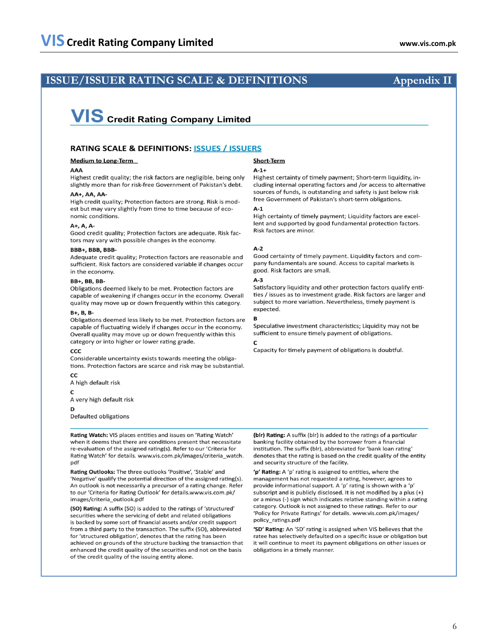## **ISSUE/ISSUER RATING SCALE & DEFINITIONS Appendix II**

# **VIS** Credit Rating Company Limited

### **RATING SCALE & DEFINITIONS: ISSUES / ISSUERS**

### **Medium to Long-Term**

### $\triangle$  $\triangle$

Highest credit quality: the risk factors are negligible, being only slightly more than for risk-free Government of Pakistan's debt.

### AA+, AA, AA-

High credit quality; Protection factors are strong. Risk is modest but may vary slightly from time to time because of economic conditions.

### $A+$ ,  $A$ ,  $A-$

Good credit quality; Protection factors are adequate. Risk factors may vary with possible changes in the economy.

### BBB+, BBB, BBB-

Adequate credit quality; Protection factors are reasonable and sufficient. Risk factors are considered variable if changes occur in the economy.

### **BB+, BB, BB-**

Obligations deemed likely to be met. Protection factors are capable of weakening if changes occur in the economy. Overall quality may move up or down frequently within this category.

### $B + B$ .  $B - B$

Obligations deemed less likely to be met. Protection factors are capable of fluctuating widely if changes occur in the economy. Overall quality may move up or down frequently within this category or into higher or lower rating grade.

### CCC

Considerable uncertainty exists towards meeting the obligations. Protection factors are scarce and risk may be substantial.

CC A high default risk

 $\mathbf{C}$ 

A very high default risk

### D

Defaulted obligations

Rating Watch: VIS places entities and issues on 'Rating Watch' when it deems that there are conditions present that necessitate re-evaluation of the assigned rating(s). Refer to our 'Criteria for Rating Watch' for details. www.vis.com.pk/images/criteria\_watch. pdf

Rating Outlooks: The three outlooks 'Positive', 'Stable' and 'Negative' qualify the potential direction of the assigned rating(s). An outlook is not necessarily a precursor of a rating change. Refer to our 'Criteria for Rating Outlook' for details.www.vis.com.pk/ images/criteria\_outlook.pdf

(SO) Rating: A suffix (SO) is added to the ratings of 'structured' securities where the servicing of debt and related obligations is backed by some sort of financial assets and/or credit support from a third party to the transaction. The suffix (SO), abbreviated for 'structured obligation', denotes that the rating has been achieved on grounds of the structure backing the transaction that enhanced the credit quality of the securities and not on the basis of the credit quality of the issuing entity alone.

### **Short-Term**

### $A-1+$

Highest certainty of timely payment; Short-term liquidity, including internal operating factors and /or access to alternative sources of funds, is outstanding and safety is just below risk free Government of Pakistan's short-term obligations.

### $\mathbf{A}$ -1

High certainty of timely payment; Liquidity factors are excellent and supported by good fundamental protection factors. Risk factors are minor.

### $A-2$

Good certainty of timely payment. Liquidity factors and company fundamentals are sound. Access to capital markets is good. Risk factors are small.

### $A-3$

Satisfactory liquidity and other protection factors qualify entities / issues as to investment grade. Risk factors are larger and subject to more variation. Nevertheless, timely payment is expected.

### B

Speculative investment characteristics; Liquidity may not be sufficient to ensure timely payment of obligations.

### $\epsilon$

Capacity for timely payment of obligations is doubtful.

(blr) Rating: A suffix (blr) is added to the ratings of a particular banking facility obtained by the borrower from a financial institution. The suffix (blr), abbreviated for 'bank loan rating' denotes that the rating is based on the credit quality of the entity and security structure of the facility.

'p' Rating: A 'p' rating is assigned to entities, where the management has not requested a rating, however, agrees to provide informational support. A 'p' rating is shown with a 'p' subscript and is publicly disclosed. It is not modified by a plus (+) or a minus (-) sign which indicates relative standing within a rating category. Outlook is not assigned to these ratings. Refer to our 'Policy for Private Ratings' for details. www.vis.com.pk/images/ policy\_ratings.pdf

'SD' Rating: An 'SD' rating is assigned when VIS believes that the ratee has selectively defaulted on a specific issue or obligation but it will continue to meet its payment obligations on other issues or obligations in a timely manner.